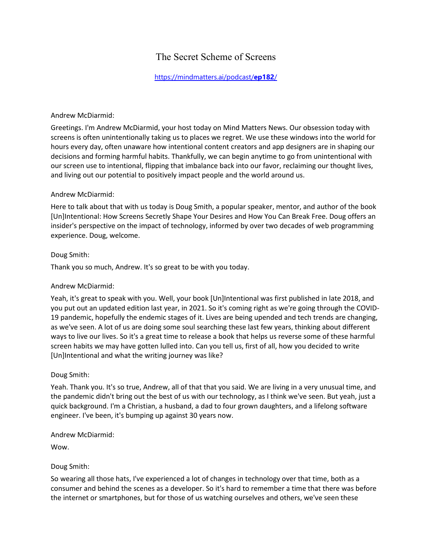# The Secret Scheme of Screens

# [https://mindmatters.ai/podcast/](https://mindmatters.ai/podcast/ep182/)**ep182**/

#### Andrew McDiarmid:

Greetings. I'm Andrew McDiarmid, your host today on Mind Matters News. Our obsession today with screens is often unintentionally taking us to places we regret. We use these windows into the world for hours every day, often unaware how intentional content creators and app designers are in shaping our decisions and forming harmful habits. Thankfully, we can begin anytime to go from unintentional with our screen use to intentional, flipping that imbalance back into our favor, reclaiming our thought lives, and living out our potential to positively impact people and the world around us.

#### Andrew McDiarmid:

Here to talk about that with us today is Doug Smith, a popular speaker, mentor, and author of the book [Un]Intentional: How Screens Secretly Shape Your Desires and How You Can Break Free. Doug offers an insider's perspective on the impact of technology, informed by over two decades of web programming experience. Doug, welcome.

#### Doug Smith:

Thank you so much, Andrew. It's so great to be with you today.

## Andrew McDiarmid:

Yeah, it's great to speak with you. Well, your book [Un]Intentional was first published in late 2018, and you put out an updated edition last year, in 2021. So it's coming right as we're going through the COVID-19 pandemic, hopefully the endemic stages of it. Lives are being upended and tech trends are changing, as we've seen. A lot of us are doing some soul searching these last few years, thinking about different ways to live our lives. So it's a great time to release a book that helps us reverse some of these harmful screen habits we may have gotten lulled into. Can you tell us, first of all, how you decided to write [Un]Intentional and what the writing journey was like?

## Doug Smith:

Yeah. Thank you. It's so true, Andrew, all of that that you said. We are living in a very unusual time, and the pandemic didn't bring out the best of us with our technology, as I think we've seen. But yeah, just a quick background. I'm a Christian, a husband, a dad to four grown daughters, and a lifelong software engineer. I've been, it's bumping up against 30 years now.

#### Andrew McDiarmid:

Wow.

#### Doug Smith:

So wearing all those hats, I've experienced a lot of changes in technology over that time, both as a consumer and behind the scenes as a developer. So it's hard to remember a time that there was before the internet or smartphones, but for those of us watching ourselves and others, we've seen these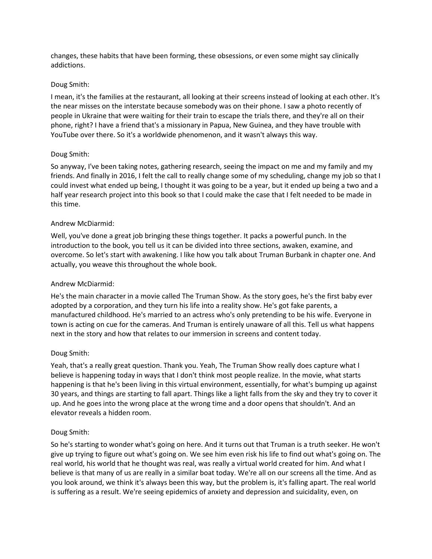changes, these habits that have been forming, these obsessions, or even some might say clinically addictions.

## Doug Smith:

I mean, it's the families at the restaurant, all looking at their screens instead of looking at each other. It's the near misses on the interstate because somebody was on their phone. I saw a photo recently of people in Ukraine that were waiting for their train to escape the trials there, and they're all on their phone, right? I have a friend that's a missionary in Papua, New Guinea, and they have trouble with YouTube over there. So it's a worldwide phenomenon, and it wasn't always this way.

## Doug Smith:

So anyway, I've been taking notes, gathering research, seeing the impact on me and my family and my friends. And finally in 2016, I felt the call to really change some of my scheduling, change my job so that I could invest what ended up being, I thought it was going to be a year, but it ended up being a two and a half year research project into this book so that I could make the case that I felt needed to be made in this time.

## Andrew McDiarmid:

Well, you've done a great job bringing these things together. It packs a powerful punch. In the introduction to the book, you tell us it can be divided into three sections, awaken, examine, and overcome. So let's start with awakening. I like how you talk about Truman Burbank in chapter one. And actually, you weave this throughout the whole book.

#### Andrew McDiarmid:

He's the main character in a movie called The Truman Show. As the story goes, he's the first baby ever adopted by a corporation, and they turn his life into a reality show. He's got fake parents, a manufactured childhood. He's married to an actress who's only pretending to be his wife. Everyone in town is acting on cue for the cameras. And Truman is entirely unaware of all this. Tell us what happens next in the story and how that relates to our immersion in screens and content today.

## Doug Smith:

Yeah, that's a really great question. Thank you. Yeah, The Truman Show really does capture what I believe is happening today in ways that I don't think most people realize. In the movie, what starts happening is that he's been living in this virtual environment, essentially, for what's bumping up against 30 years, and things are starting to fall apart. Things like a light falls from the sky and they try to cover it up. And he goes into the wrong place at the wrong time and a door opens that shouldn't. And an elevator reveals a hidden room.

## Doug Smith:

So he's starting to wonder what's going on here. And it turns out that Truman is a truth seeker. He won't give up trying to figure out what's going on. We see him even risk his life to find out what's going on. The real world, his world that he thought was real, was really a virtual world created for him. And what I believe is that many of us are really in a similar boat today. We're all on our screens all the time. And as you look around, we think it's always been this way, but the problem is, it's falling apart. The real world is suffering as a result. We're seeing epidemics of anxiety and depression and suicidality, even, on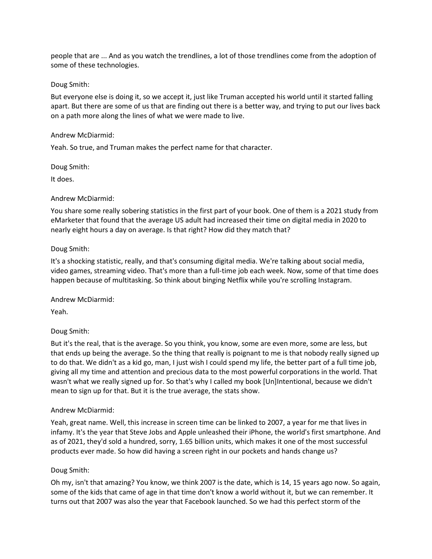people that are ... And as you watch the trendlines, a lot of those trendlines come from the adoption of some of these technologies.

#### Doug Smith:

But everyone else is doing it, so we accept it, just like Truman accepted his world until it started falling apart. But there are some of us that are finding out there is a better way, and trying to put our lives back on a path more along the lines of what we were made to live.

#### Andrew McDiarmid:

Yeah. So true, and Truman makes the perfect name for that character.

#### Doug Smith:

It does.

#### Andrew McDiarmid:

You share some really sobering statistics in the first part of your book. One of them is a 2021 study from eMarketer that found that the average US adult had increased their time on digital media in 2020 to nearly eight hours a day on average. Is that right? How did they match that?

#### Doug Smith:

It's a shocking statistic, really, and that's consuming digital media. We're talking about social media, video games, streaming video. That's more than a full-time job each week. Now, some of that time does happen because of multitasking. So think about binging Netflix while you're scrolling Instagram.

Andrew McDiarmid:

Yeah.

## Doug Smith:

But it's the real, that is the average. So you think, you know, some are even more, some are less, but that ends up being the average. So the thing that really is poignant to me is that nobody really signed up to do that. We didn't as a kid go, man, I just wish I could spend my life, the better part of a full time job, giving all my time and attention and precious data to the most powerful corporations in the world. That wasn't what we really signed up for. So that's why I called my book [Un]Intentional, because we didn't mean to sign up for that. But it is the true average, the stats show.

## Andrew McDiarmid:

Yeah, great name. Well, this increase in screen time can be linked to 2007, a year for me that lives in infamy. It's the year that Steve Jobs and Apple unleashed their iPhone, the world's first smartphone. And as of 2021, they'd sold a hundred, sorry, 1.65 billion units, which makes it one of the most successful products ever made. So how did having a screen right in our pockets and hands change us?

## Doug Smith:

Oh my, isn't that amazing? You know, we think 2007 is the date, which is 14, 15 years ago now. So again, some of the kids that came of age in that time don't know a world without it, but we can remember. It turns out that 2007 was also the year that Facebook launched. So we had this perfect storm of the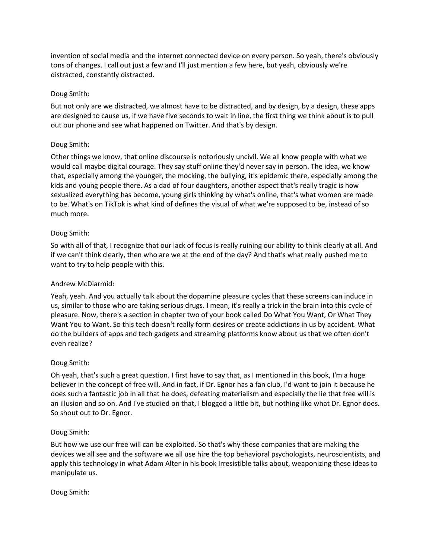invention of social media and the internet connected device on every person. So yeah, there's obviously tons of changes. I call out just a few and I'll just mention a few here, but yeah, obviously we're distracted, constantly distracted.

# Doug Smith:

But not only are we distracted, we almost have to be distracted, and by design, by a design, these apps are designed to cause us, if we have five seconds to wait in line, the first thing we think about is to pull out our phone and see what happened on Twitter. And that's by design.

# Doug Smith:

Other things we know, that online discourse is notoriously uncivil. We all know people with what we would call maybe digital courage. They say stuff online they'd never say in person. The idea, we know that, especially among the younger, the mocking, the bullying, it's epidemic there, especially among the kids and young people there. As a dad of four daughters, another aspect that's really tragic is how sexualized everything has become, young girls thinking by what's online, that's what women are made to be. What's on TikTok is what kind of defines the visual of what we're supposed to be, instead of so much more.

# Doug Smith:

So with all of that, I recognize that our lack of focus is really ruining our ability to think clearly at all. And if we can't think clearly, then who are we at the end of the day? And that's what really pushed me to want to try to help people with this.

## Andrew McDiarmid:

Yeah, yeah. And you actually talk about the dopamine pleasure cycles that these screens can induce in us, similar to those who are taking serious drugs. I mean, it's really a trick in the brain into this cycle of pleasure. Now, there's a section in chapter two of your book called Do What You Want, Or What They Want You to Want. So this tech doesn't really form desires or create addictions in us by accident. What do the builders of apps and tech gadgets and streaming platforms know about us that we often don't even realize?

## Doug Smith:

Oh yeah, that's such a great question. I first have to say that, as I mentioned in this book, I'm a huge believer in the concept of free will. And in fact, if Dr. Egnor has a fan club, I'd want to join it because he does such a fantastic job in all that he does, defeating materialism and especially the lie that free will is an illusion and so on. And I've studied on that, I blogged a little bit, but nothing like what Dr. Egnor does. So shout out to Dr. Egnor.

## Doug Smith:

But how we use our free will can be exploited. So that's why these companies that are making the devices we all see and the software we all use hire the top behavioral psychologists, neuroscientists, and apply this technology in what Adam Alter in his book Irresistible talks about, weaponizing these ideas to manipulate us.

## Doug Smith: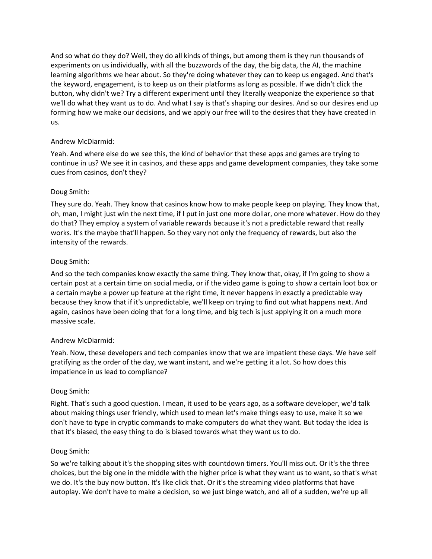And so what do they do? Well, they do all kinds of things, but among them is they run thousands of experiments on us individually, with all the buzzwords of the day, the big data, the AI, the machine learning algorithms we hear about. So they're doing whatever they can to keep us engaged. And that's the keyword, engagement, is to keep us on their platforms as long as possible. If we didn't click the button, why didn't we? Try a different experiment until they literally weaponize the experience so that we'll do what they want us to do. And what I say is that's shaping our desires. And so our desires end up forming how we make our decisions, and we apply our free will to the desires that they have created in us.

# Andrew McDiarmid:

Yeah. And where else do we see this, the kind of behavior that these apps and games are trying to continue in us? We see it in casinos, and these apps and game development companies, they take some cues from casinos, don't they?

# Doug Smith:

They sure do. Yeah. They know that casinos know how to make people keep on playing. They know that, oh, man, I might just win the next time, if I put in just one more dollar, one more whatever. How do they do that? They employ a system of variable rewards because it's not a predictable reward that really works. It's the maybe that'll happen. So they vary not only the frequency of rewards, but also the intensity of the rewards.

# Doug Smith:

And so the tech companies know exactly the same thing. They know that, okay, if I'm going to show a certain post at a certain time on social media, or if the video game is going to show a certain loot box or a certain maybe a power up feature at the right time, it never happens in exactly a predictable way because they know that if it's unpredictable, we'll keep on trying to find out what happens next. And again, casinos have been doing that for a long time, and big tech is just applying it on a much more massive scale.

## Andrew McDiarmid:

Yeah. Now, these developers and tech companies know that we are impatient these days. We have self gratifying as the order of the day, we want instant, and we're getting it a lot. So how does this impatience in us lead to compliance?

## Doug Smith:

Right. That's such a good question. I mean, it used to be years ago, as a software developer, we'd talk about making things user friendly, which used to mean let's make things easy to use, make it so we don't have to type in cryptic commands to make computers do what they want. But today the idea is that it's biased, the easy thing to do is biased towards what they want us to do.

## Doug Smith:

So we're talking about it's the shopping sites with countdown timers. You'll miss out. Or it's the three choices, but the big one in the middle with the higher price is what they want us to want, so that's what we do. It's the buy now button. It's like click that. Or it's the streaming video platforms that have autoplay. We don't have to make a decision, so we just binge watch, and all of a sudden, we're up all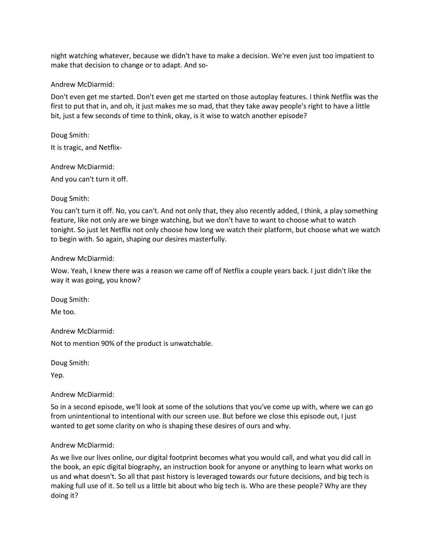night watching whatever, because we didn't have to make a decision. We're even just too impatient to make that decision to change or to adapt. And so-

#### Andrew McDiarmid:

Don't even get me started. Don't even get me started on those autoplay features. I think Netflix was the first to put that in, and oh, it just makes me so mad, that they take away people's right to have a little bit, just a few seconds of time to think, okay, is it wise to watch another episode?

Doug Smith: It is tragic, and Netflix-

Andrew McDiarmid:

And you can't turn it off.

# Doug Smith:

You can't turn it off. No, you can't. And not only that, they also recently added, I think, a play something feature, like not only are we binge watching, but we don't have to want to choose what to watch tonight. So just let Netflix not only choose how long we watch their platform, but choose what we watch to begin with. So again, shaping our desires masterfully.

## Andrew McDiarmid:

Wow. Yeah, I knew there was a reason we came off of Netflix a couple years back. I just didn't like the way it was going, you know?

Doug Smith:

Me too.

Andrew McDiarmid:

Not to mention 90% of the product is unwatchable.

Doug Smith:

Yep.

## Andrew McDiarmid:

So in a second episode, we'll look at some of the solutions that you've come up with, where we can go from unintentional to intentional with our screen use. But before we close this episode out, I just wanted to get some clarity on who is shaping these desires of ours and why.

## Andrew McDiarmid:

As we live our lives online, our digital footprint becomes what you would call, and what you did call in the book, an epic digital biography, an instruction book for anyone or anything to learn what works on us and what doesn't. So all that past history is leveraged towards our future decisions, and big tech is making full use of it. So tell us a little bit about who big tech is. Who are these people? Why are they doing it?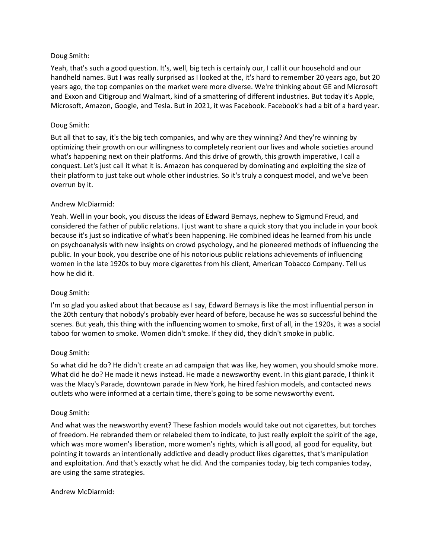## Doug Smith:

Yeah, that's such a good question. It's, well, big tech is certainly our, I call it our household and our handheld names. But I was really surprised as I looked at the, it's hard to remember 20 years ago, but 20 years ago, the top companies on the market were more diverse. We're thinking about GE and Microsoft and Exxon and Citigroup and Walmart, kind of a smattering of different industries. But today it's Apple, Microsoft, Amazon, Google, and Tesla. But in 2021, it was Facebook. Facebook's had a bit of a hard year.

# Doug Smith:

But all that to say, it's the big tech companies, and why are they winning? And they're winning by optimizing their growth on our willingness to completely reorient our lives and whole societies around what's happening next on their platforms. And this drive of growth, this growth imperative, I call a conquest. Let's just call it what it is. Amazon has conquered by dominating and exploiting the size of their platform to just take out whole other industries. So it's truly a conquest model, and we've been overrun by it.

# Andrew McDiarmid:

Yeah. Well in your book, you discuss the ideas of Edward Bernays, nephew to Sigmund Freud, and considered the father of public relations. I just want to share a quick story that you include in your book because it's just so indicative of what's been happening. He combined ideas he learned from his uncle on psychoanalysis with new insights on crowd psychology, and he pioneered methods of influencing the public. In your book, you describe one of his notorious public relations achievements of influencing women in the late 1920s to buy more cigarettes from his client, American Tobacco Company. Tell us how he did it.

## Doug Smith:

I'm so glad you asked about that because as I say, Edward Bernays is like the most influential person in the 20th century that nobody's probably ever heard of before, because he was so successful behind the scenes. But yeah, this thing with the influencing women to smoke, first of all, in the 1920s, it was a social taboo for women to smoke. Women didn't smoke. If they did, they didn't smoke in public.

## Doug Smith:

So what did he do? He didn't create an ad campaign that was like, hey women, you should smoke more. What did he do? He made it news instead. He made a newsworthy event. In this giant parade, I think it was the Macy's Parade, downtown parade in New York, he hired fashion models, and contacted news outlets who were informed at a certain time, there's going to be some newsworthy event.

## Doug Smith:

And what was the newsworthy event? These fashion models would take out not cigarettes, but torches of freedom. He rebranded them or relabeled them to indicate, to just really exploit the spirit of the age, which was more women's liberation, more women's rights, which is all good, all good for equality, but pointing it towards an intentionally addictive and deadly product likes cigarettes, that's manipulation and exploitation. And that's exactly what he did. And the companies today, big tech companies today, are using the same strategies.

## Andrew McDiarmid: